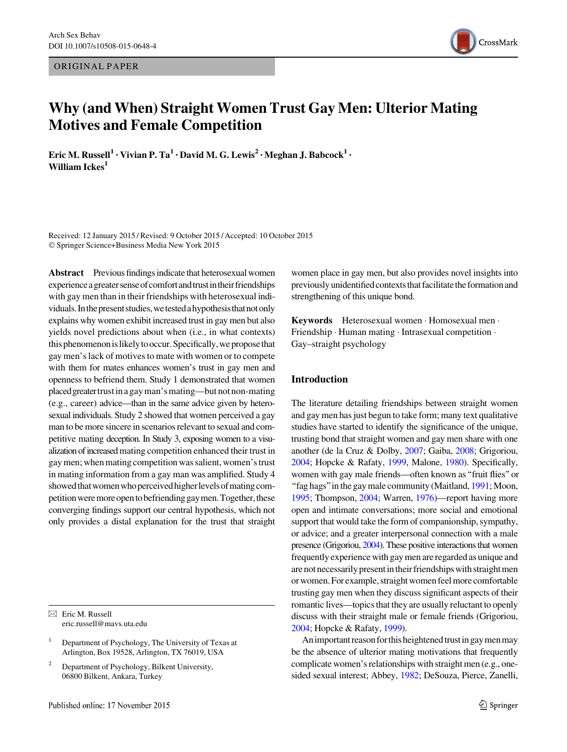ORIGINAL PAPER



# Why (and When) Straight Women Trust Gay Men: Ulterior Mating Motives and Female Competition

Eric M. Russell<sup>1</sup> • Vivian P. Ta<sup>1</sup> • David M. G. Lewis<sup>2</sup> • Meghan J. Babcock<sup>1</sup> • William Ickes<sup>1</sup>

Received: 12 January 2015 / Revised: 9 October 2015 / Accepted: 10 October 2015 © Springer Science+Business Media New York 2015

Abstract Previous findings indicate that heterosexual women experience a greater sense of comfort and trust in their friendships with gay men than in their friendships with heterosexual individuals. In the present studies, we tested a hypothesis that not only explains why women exhibit increased trust in gay men but also yields novel predictions about when (i.e., in what contexts) this phenomenon is likely to occur. Specifically, we propose that gay men's lack of motives to mate with women or to compete with them for mates enhances women's trust in gay men and openness to befriend them. Study 1 demonstrated that women placedgreatertrustin a gayman'smating—but not non-mating (e.g., career) advice—than in the same advice given by heterosexual individuals. Study 2 showed that women perceived a gay man to be more sincere in scenarios relevant to sexual and competitive mating deception. In Study 3, exposing women to a visualization of increased mating competition enhanced their trust in gay men; when mating competition was salient, women's trust in mating information from a gay man was amplified. Study 4 showed that women who perceived higher levels of mating competition were more open to befriending gay men. Together, these converging findings support our central hypothesis, which not only provides a distal explanation for the trust that straight

 $\boxtimes$  Eric M. Russell eric.russell@mavs.uta.edu

women place in gay men, but also provides novel insights into previously unidentified contexts that facilitate the formation and strengthening of this unique bond.

Keywords Heterosexual women - Homosexual men - Friendship - Human mating - Intrasexual competition - Gay–straight psychology

# Introduction

The literature detailing friendships between straight women and gay men has just begun to take form; many text qualitative studies have started to identify the significance of the unique, trusting bond that straight women and gay men share with one another (de la Cruz & Dolby, [2007;](#page-10-0) Gaiba, [2008](#page-10-0); Grigoriou, [2004;](#page-10-0) Hopcke & Rafaty, [1999,](#page-10-0) Malone, [1980](#page-10-0)). Specifically, women with gay male friends—often known as "fruit flies" or "fag hags" in the gay male community (Maitland, [1991](#page-10-0); Moon, [1995;](#page-10-0) Thompson, [2004](#page-10-0); Warren, [1976](#page-10-0))—report having more open and intimate conversations; more social and emotional support that would take the form of companionship, sympathy, or advice; and a greater interpersonal connection with a male presence (Grigoriou, [2004\)](#page-10-0). These positive interactions that women frequently experience with gay men are regarded as unique and are not necessarily present in their friendships with straight men or women. For example, straight women feelmore comfortable trusting gay men when they discuss significant aspects of their romantic lives—topics that they are usually reluctant to openly discuss with their straight male or female friends (Grigoriou, [2004;](#page-10-0) Hopcke & Rafaty, [1999](#page-10-0)).

An important reason for this heightened trust in gay men may be the absence of ulterior mating motivations that frequently complicate women's relationships with straight men (e.g., onesided sexual interest; Abbey, [1982](#page-9-0); DeSouza, Pierce, Zanelli,

<sup>1</sup> Department of Psychology, The University of Texas at Arlington, Box 19528, Arlington, TX 76019, USA

<sup>2</sup> Department of Psychology, Bilkent University, 06800 Bilkent, Ankara, Turkey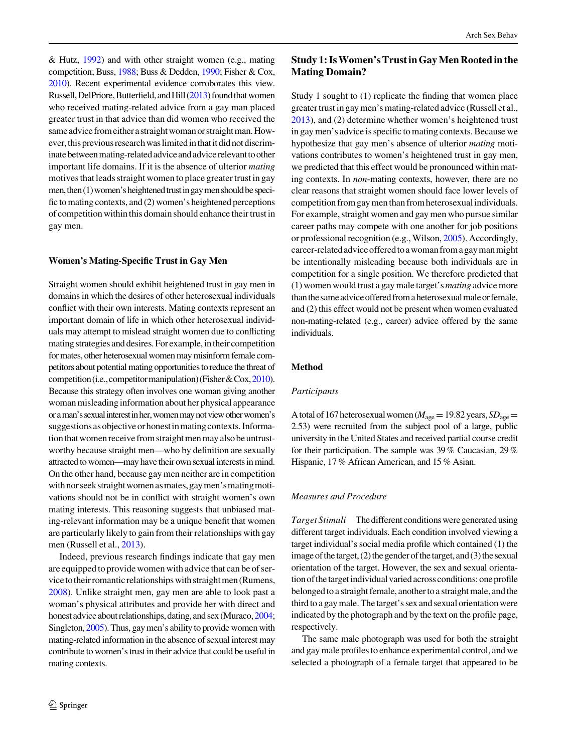& Hutz, [1992](#page-10-0)) and with other straight women (e.g., mating competition; Buss, [1988;](#page-9-0) Buss & Dedden, [1990;](#page-9-0) Fisher & Cox, [2010\)](#page-10-0). Recent experimental evidence corroborates this view. Russell, DelPriore, Butterfield, and Hill [\(2013](#page-10-0)) found that women who received mating-related advice from a gay man placed greater trust in that advice than did women who received the same advice from either a straight woman or straight man. However, this previous research was limited in that it did not discriminate between mating-related advice and advice relevant to other important life domains. If it is the absence of ulterior mating motives that leads straight women to place greater trust in gay men, then  $(1)$  women's heightened trust in gay men should be specific to mating contexts, and (2) women's heightened perceptions of competition within this domain should enhance their trustin gay men.

#### Women's Mating-Specific Trust in Gay Men

Straight women should exhibit heightened trust in gay men in domains in which the desires of other heterosexual individuals conflict with their own interests. Mating contexts represent an important domain of life in which other heterosexual individuals may attempt to mislead straight women due to conflicting mating strategies and desires. For example, in their competition for mates, other heterosexual women may misinform female competitors about potential mating opportunities to reduce the threat of competition (i.e., competitor manipulation) (Fisher & Cox, [2010\)](#page-10-0). Because this strategy often involves one woman giving another woman misleading information about her physical appearance or a man's sexual interest in her, women may not view other women's suggestions as objective or honest in mating contexts. Information that women receive from straight men may also be untrustworthy because straight men—who by definition are sexually attracted to women—may have their own sexual interests in mind. On the other hand, because gay men neither are in competition with nor seek straight women as mates, gay men's mating motivations should not be in conflict with straight women's own mating interests. This reasoning suggests that unbiased mating-relevant information may be a unique benefit that women are particularly likely to gain from their relationships with gay men (Russell et al., [2013](#page-10-0)).

Indeed, previous research findings indicate that gay men are equipped to provide women with advice that can be of service to their romantic relationships with straight men (Rumens, [2008\)](#page-10-0). Unlike straight men, gay men are able to look past a woman's physical attributes and provide her with direct and honest advice about relationships, dating, and sex (Muraco, [2004](#page-10-0); Singleton, [2005](#page-10-0)). Thus, gay men's ability to provide women with mating-related information in the absence of sexual interest may contribute to women's trust in their advice that could be useful in mating contexts.

# Study 1: Is Women's Trust in Gay Men Rooted in the Mating Domain?

Study 1 sought to (1) replicate the finding that women place greater trust in gay men's mating-related advice (Russell et al., [2013](#page-10-0)), and (2) determine whether women's heightened trust in gay men's advice is specific to mating contexts. Because we hypothesize that gay men's absence of ulterior mating motivations contributes to women's heightened trust in gay men, we predicted that this effect would be pronounced within mating contexts. In non-mating contexts, however, there are no clear reasons that straight women should face lower levels of competition from gay menthan from heterosexualindividuals. For example, straight women and gay men who pursue similar career paths may compete with one another for job positions or professional recognition (e.g., Wilson, [2005](#page-10-0)). Accordingly, career-relatedadvice offeredtoawoman froma gaymanmight be intentionally misleading because both individuals are in competition for a single position. We therefore predicted that (1) women would trust a gay male target's mating advice more than the same advice offered from a heterosexual male or female, and (2) this effect would not be present when women evaluated non-mating-related (e.g., career) advice offered by the same individuals.

#### Method

#### Participants

A total of 167 heterosexual women ( $M_{\text{age}}=19.82$  years,  $SD_{\text{age}}=$ 2.53) were recruited from the subject pool of a large, public university in the United States and received partial course credit for their participation. The sample was  $39\%$  Caucasian,  $29\%$ Hispanic, 17% African American, and 15% Asian.

## Measures and Procedure

Target Stimuli The different conditions were generated using different target individuals. Each condition involved viewing a target individual's social media profile which contained (1) the image of the target,  $(2)$  the gender of the target, and  $(3)$  the sexual orientation of the target. However, the sex and sexual orientation of the target individual varied across conditions: one profile belonged to a straight female, another to a straight male, and the third to a gay male. The target's sex and sexual orientation were indicated by the photograph and by the text on the profile page, respectively.

The same male photograph was used for both the straight and gay male profiles to enhance experimental control, and we selected a photograph of a female target that appeared to be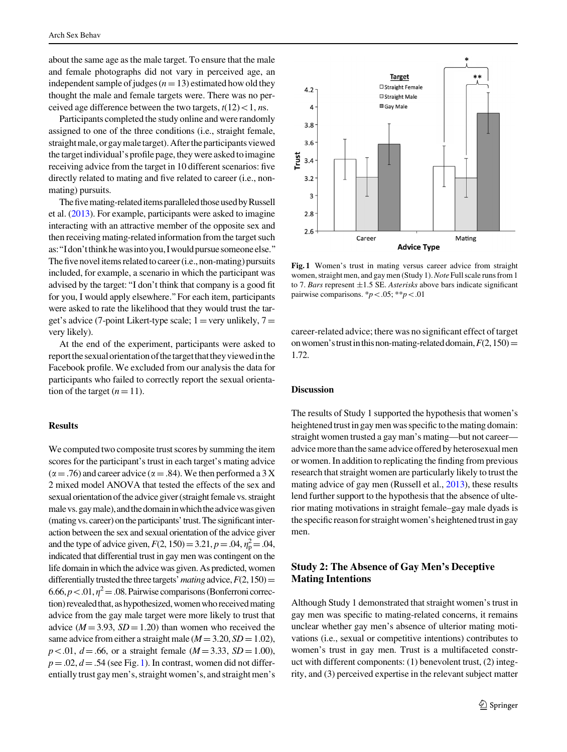about the same age as the male target. To ensure that the male and female photographs did not vary in perceived age, an independent sample of judges ( $n=13$ ) estimated how old they thought the male and female targets were. There was no perceived age difference between the two targets,  $t(12)\leq 1$ , ns.

Participants completed the study online and were randomly assigned to one of the three conditions (i.e., straight female, straightmale, or gaymaletarget).Afterthe participants viewed the target individual's profile page, they were asked to imagine receiving advice from the target in 10 different scenarios: five directly related to mating and five related to career (i.e., nonmating) pursuits.

The five mating-related items paralleled those used by Russell et al. [\(2013](#page-10-0)). For example, participants were asked to imagine interacting with an attractive member of the opposite sex and then receiving mating-related information from the target such as:''I don'tthinkhewasinto you, Iwould pursue someoneelse.'' The five novel items related to career (i.e., non-mating) pursuits included, for example, a scenario in which the participant was advised by the target: ''I don't think that company is a good fit for you, I would apply elsewhere.''For each item, participants were asked to rate the likelihood that they would trust the target's advice (7-point Likert-type scale;  $1 = \text{very unlikely}, 7 =$ very likely).

At the end of the experiment, participants were asked to report the sexual orientation of the target that they viewed in the Facebook profile. We excluded from our analysis the data for participants who failed to correctly report the sexual orientation of the target  $(n=11)$ .

## Results

We computed two composite trust scores by summing the item scores for the participant's trust in each target's mating advice  $(\alpha = .76)$  and career advice ( $\alpha = .84$ ). We then performed a 3 X 2 mixed model ANOVA that tested the effects of the sex and sexual orientation of the advice giver (straight female vs. straight male vs. gay male), and the domain in which the advice was given (mating vs. career) on the participants' trust. The significant interaction between the sex and sexual orientation of the advice giver and the type of advice given,  $F(2, 150) = 3.21, p = .04, \eta_{\rm p}^2 = .04$ , indicated that differential trust in gay men was contingent on the life domain in which the advice was given. As predicted, women differentially trusted the three targets' mating advice,  $F(2, 150)$  = 6.66,  $p < 0.01$ ,  $\eta^2 = 0.08$ . Pairwise comparisons (Bonferroni correction) revealed that, as hypothesized, women who received mating advice from the gay male target were more likely to trust that advice ( $M = 3.93$ ,  $SD = 1.20$ ) than women who received the same advice from either a straight male ( $M = 3.20$ ,  $SD = 1.02$ ),  $p<.01$ ,  $d=.66$ , or a straight female ( $M = 3.33$ ,  $SD = 1.00$ ),  $p = .02$ ,  $d = .54$  (see Fig. 1). In contrast, women did not differentially trust gay men's, straight women's, and straight men's



Fig. 1 Women's trust in mating versus career advice from straight women, straight men, and gay men (Study 1). Note Full scale runs from 1 to 7. Bars represent  $\pm 1.5$  SE. Asterisks above bars indicate significant pairwise comparisons.  $\frac{*p}{0.05}$ ;  $\frac{*p}{0.01}$ 

career-related advice; there was no significant effect of target on women's trust in this non-mating-related domain,  $F(2, 150)$  = 1.72.

#### Discussion

The results of Study 1 supported the hypothesis that women's heightened trust in gay men was specific to the mating domain: straight women trusted a gay man's mating—but not career advice morethanthe same advice offered by heterosexual men or women. In addition to replicating the finding from previous research that straight women are particularly likely to trust the mating advice of gay men (Russell et al., [2013](#page-10-0)), these results lend further support to the hypothesis that the absence of ulterior mating motivations in straight female–gay male dyads is the specific reason for straight women's heightened trust in gay men.

# Study 2: The Absence of Gay Men's Deceptive Mating Intentions

Although Study 1 demonstrated that straight women's trust in gay men was specific to mating-related concerns, it remains unclear whether gay men's absence of ulterior mating motivations (i.e., sexual or competitive intentions) contributes to women's trust in gay men. Trust is a multifaceted construct with different components: (1) benevolent trust, (2) integrity, and (3) perceived expertise in the relevant subject matter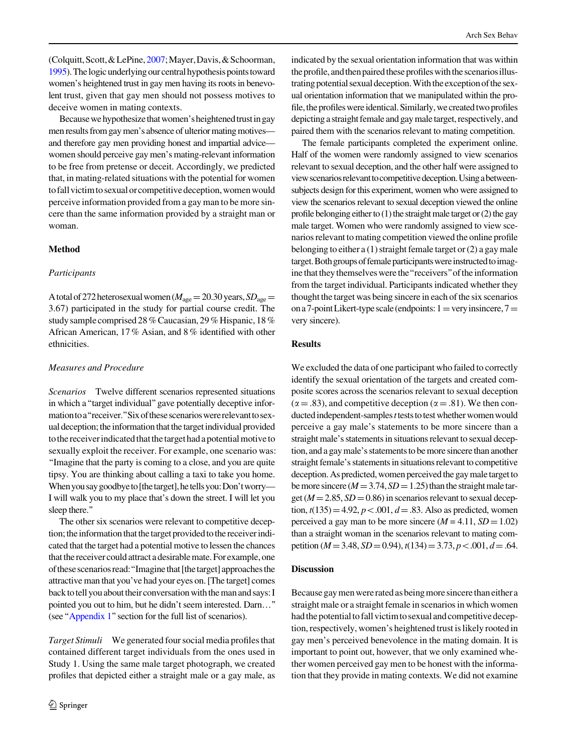(Colquitt, Scott,&LePine,[2007;](#page-9-0)Mayer,Davis,& Schoorman, [1995](#page-10-0)). The logic underlying our central hypothesis points toward women's heightened trust in gay men having its roots in benevolent trust, given that gay men should not possess motives to deceive women in mating contexts.

Because we hypothesize that women's heightened trust in gay men results from gay men's absence of ulterior mating motives and therefore gay men providing honest and impartial advice women should perceive gay men's mating-relevant information to be free from pretense or deceit. Accordingly, we predicted that, in mating-related situations with the potential for women to fall victimto sexual orcompetitive deception,women would perceive information provided from a gay man to be more sincere than the same information provided by a straight man or woman.

## Method

#### Participants

A total of 272 heterosexual women ( $M_{\text{age}}=20.30$  years,  $SD_{\text{age}}=$ 3.67) participated in the study for partial course credit. The study sample comprised 28% Caucasian, 29% Hispanic, 18% African American, 17% Asian, and 8 % identified with other ethnicities.

#### Measures and Procedure

Scenarios Twelve different scenarios represented situations in which a''target individual''gave potentially deceptive information to a "receiver." Six of these scenarios were relevant to sexual deception; the information that the target individual provided to the receiver indicated that the target had a potential motive to sexually exploit the receiver. For example, one scenario was: ''Imagine that the party is coming to a close, and you are quite tipsy. You are thinking about calling a taxi to take you home. When you say goodbye to [the target], he tells you: Don't worry— I will walk you to my place that's down the street. I will let you sleep there.''

The other six scenarios were relevant to competitive deception; the information that the target provided to the receiver indicated that the target had a potential motive to lessen the chances that the receiver could attract a desirable mate. For example, one of these scenarios read: "Imagine that [the target] approaches the attractive man that you've had your eyes on. [The target] comes back to tell you about their conversation with the man and says: I pointed you out to him, but he didn't seem interested. Darn…'' (see ''[Appendix 1](#page-8-0)''section for the full list of scenarios).

Target Stimuli We generated four social media profiles that contained different target individuals from the ones used in Study 1. Using the same male target photograph, we created profiles that depicted either a straight male or a gay male, as indicated by the sexual orientation information that was within the profile, and then paired these profiles with the scenarios illustrating potential sexual deception. With the exception of the sexual orientation information that we manipulated within the profile, the profiles were identical. Similarly, we created two profiles depicting a straight female and gay male target, respectively, and paired them with the scenarios relevant to mating competition.

The female participants completed the experiment online. Half of the women were randomly assigned to view scenarios relevant to sexual deception, and the other half were assigned to view scenarios relevant to competitive deception. Using a betweensubjects design for this experiment, women who were assigned to view the scenarios relevant to sexual deception viewed the online profile belonging either to  $(1)$  the straight male target or  $(2)$  the gay male target. Women who were randomly assigned to view scenarios relevant to mating competition viewed the online profile belonging to either a (1) straight female target or (2) a gay male target. Both groups of female participants were instructed to imagine that they themselves were the "receivers" of the information from the target individual. Participants indicated whether they thought the target was being sincere in each of the six scenarios on a 7-point Likert-type scale (endpoints:  $1=$  very insincere,  $7=$ very sincere).

## **Results**

We excluded the data of one participant who failed to correctly identify the sexual orientation of the targets and created composite scores across the scenarios relevant to sexual deception  $(\alpha = .83)$ , and competitive deception ( $\alpha = .81$ ). We then conducted independent-samples t tests to test whether women would perceive a gay male's statements to be more sincere than a straight male's statements in situations relevant to sexual deception, and a gay male's statements to be more sincere than another straight female's statements in situations relevant to competitive deception. As predicted, women perceived the gay male target to be more sincere ( $M=3.74$ ,  $SD=1.25$ ) than the straight male target ( $M = 2.85$ ,  $SD = 0.86$ ) in scenarios relevant to sexual deception,  $t(135) = 4.92$ ,  $p < .001$ ,  $d = .83$ . Also as predicted, women perceived a gay man to be more sincere  $(M = 4.11, SD = 1.02)$ than a straight woman in the scenarios relevant to mating competition ( $M = 3.48$ ,  $SD = 0.94$ ),  $t(134) = 3.73$ ,  $p < .001$ ,  $d = .64$ .

## Discussion

Because gaymen were rated as beingmore sincerethaneither a straight male or a straight female in scenarios in which women had the potential to fall victim to sexual and competitive deception, respectively, women's heightened trust is likely rooted in gay men's perceived benevolence in the mating domain. It is important to point out, however, that we only examined whether women perceived gay men to be honest with the information that they provide in mating contexts. We did not examine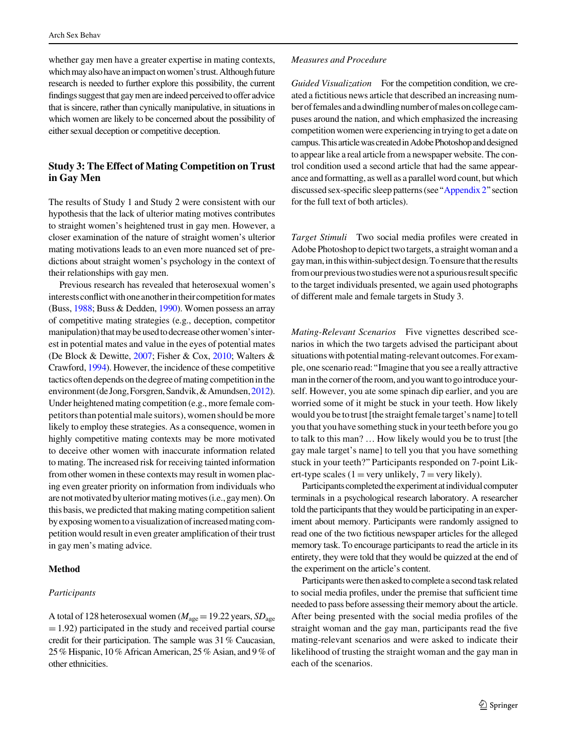whether gay men have a greater expertise in mating contexts, which may also have an impact on women's trust. Although future research is needed to further explore this possibility, the current findings suggest that gay men are indeed perceived to offer advice that is sincere, rather than cynically manipulative, in situations in which women are likely to be concerned about the possibility of either sexual deception or competitive deception.

# Study 3: The Effect of Mating Competition on Trust in Gay Men

The results of Study 1 and Study 2 were consistent with our hypothesis that the lack of ulterior mating motives contributes to straight women's heightened trust in gay men. However, a closer examination of the nature of straight women's ulterior mating motivations leads to an even more nuanced set of predictions about straight women's psychology in the context of their relationships with gay men.

Previous research has revealed that heterosexual women's interests conflict with one another in their competition for mates (Buss, [1988;](#page-9-0) Buss & Dedden, [1990](#page-9-0)). Women possess an array of competitive mating strategies (e.g., deception, competitor manipulation) that may be used to decrease other women's interest in potential mates and value in the eyes of potential mates (De Block & Dewitte, [2007;](#page-9-0) Fisher & Cox, [2010](#page-10-0); Walters & Crawford, [1994\)](#page-10-0). However, the incidence of these competitive tactics often depends on the degree of mating competition in the environment (de Jong, Forsgren, Sandvik, & Amundsen, [2012](#page-10-0)). Under heightened mating competition (e.g., more female competitors than potential male suitors), women should be more likely to employ these strategies. As a consequence, women in highly competitive mating contexts may be more motivated to deceive other women with inaccurate information related to mating. The increased risk for receiving tainted information from other women in these contexts may result in women placing even greater priority on information from individuals who are not motivated by ulterior mating motives (i.e., gay men). On this basis, we predicted that making mating competition salient by exposing womento a visualization ofincreasedmatingcompetition would result in even greater amplification of their trust in gay men's mating advice.

## Method

## Participants

A total of 128 heterosexual women ( $M_{\text{age}}=19.22$  years,  $SD_{\text{age}}$  $= 1.92$ ) participated in the study and received partial course credit for their participation. The sample was 31% Caucasian, 25% Hispanic, 10% African American, 25% Asian, and 9% of other ethnicities.

#### Measures and Procedure

Guided Visualization For the competition condition, we created a fictitious news article that described an increasing number of females and a dwindling number of males on college campuses around the nation, and which emphasized the increasing competition women were experiencing in trying to get a date on campus.ThisarticlewascreatedinAdobePhotoshopand designed to appear like a real article from a newspaper website. The control condition used a second article that had the same appearance and formatting, as well as a parallel word count, but which discussed sex-specific sleep patterns (see'['Appendix 2](#page-8-0)''section for the full text of both articles).

Target Stimuli Two social media profiles were created in Adobe Photoshop to depict two targets, a straight woman and a gayman,inthis within-subject design.To ensurethatthe results from our previous two studies were not a spurious result specific to the target individuals presented, we again used photographs of different male and female targets in Study 3.

Mating-Relevant Scenarios Five vignettes described scenarios in which the two targets advised the participant about situations with potential mating-relevant outcomes. For example, one scenario read:''Imagine that you see a really attractive man in the corner of the room, and you want to go introduce yourself. However, you ate some spinach dip earlier, and you are worried some of it might be stuck in your teeth. How likely would you be to trust [the straight female target's name] to tell you that you have something stuck in your teeth before you go to talk to this man? … How likely would you be to trust [the gay male target's name] to tell you that you have something stuck in your teeth?'' Participants responded on 7-point Likert-type scales (1 = very unlikely, 7 = very likely).

Participants completed the experiment at individual computer terminals in a psychological research laboratory. A researcher told the participants that they would be participating in an experiment about memory. Participants were randomly assigned to read one of the two fictitious newspaper articles for the alleged memory task. To encourage participants to read the article in its entirety, they were told that they would be quizzed at the end of the experiment on the article's content.

Participants were then asked to complete a second task related to social media profiles, under the premise that sufficient time needed to pass before assessing their memory about the article. After being presented with the social media profiles of the straight woman and the gay man, participants read the five mating-relevant scenarios and were asked to indicate their likelihood of trusting the straight woman and the gay man in each of the scenarios.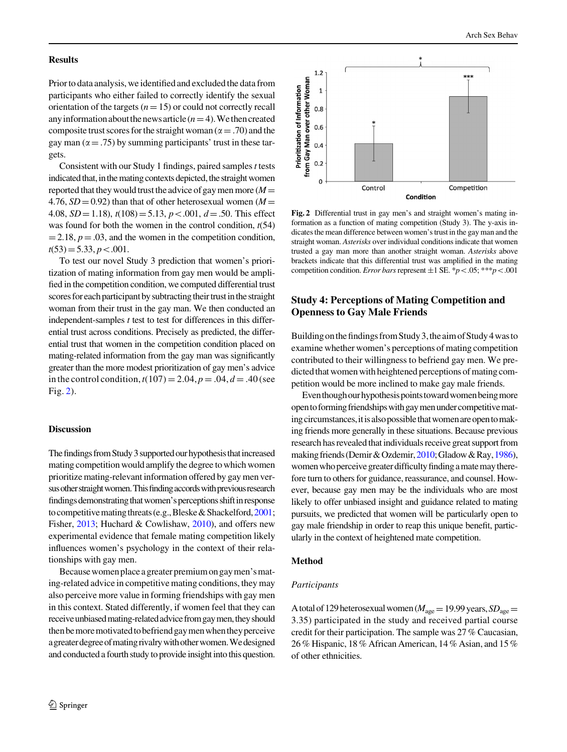#### **Results**

Prior to data analysis, we identified and excluded the data from participants who either failed to correctly identify the sexual orientation of the targets  $(n=15)$  or could not correctly recall any information about the news article  $(n=4)$ . We then created composite trust scores for the straight woman ( $\alpha = .70$ ) and the gay man ( $\alpha$  = .75) by summing participants' trust in these targets.

Consistent with our Study 1 findings, paired samples  $t$  tests indicated that, in the mating contexts depicted, the straight women reported that they would trust the advice of gay men more ( $M =$ 4.76,  $SD = 0.92$ ) than that of other heterosexual women ( $M =$ 4.08,  $SD = 1.18$ ),  $t(108) = 5.13$ ,  $p < .001$ ,  $d = .50$ . This effect was found for both the women in the control condition,  $t(54)$  $=2.18, p=.03$ , and the women in the competition condition,  $t(53)=5.33, p<.001.$ 

To test our novel Study 3 prediction that women's prioritization of mating information from gay men would be amplified in the competition condition, we computed differential trust scores for each participant by subtracting their trust in the straight woman from their trust in the gay man. We then conducted an independent-samples  $t$  test to test for differences in this differential trust across conditions. Precisely as predicted, the differential trust that women in the competition condition placed on mating-related information from the gay man was significantly greater than the more modest prioritization of gay men's advice in the control condition,  $t(107) = 2.04$ ,  $p = .04$ ,  $d = .40$  (see Fig. 2).

## Discussion

The findings from Study 3 supported our hypothesis that increased mating competition would amplify the degree to which women prioritize mating-relevant information offered by gay men versus other straight women. This finding accords with previous research findings demonstrating that women's perceptions shift in response to competitive mating threats (e.g., Bleske & Shackelford, [2001](#page-9-0); Fisher, [2013](#page-10-0); Huchard & Cowlishaw, [2010\)](#page-10-0), and offers new experimental evidence that female mating competition likely influences women's psychology in the context of their relationships with gay men.

Because women place a greater premium on gay men's mating-related advice in competitive mating conditions, they may also perceive more value in forming friendships with gay men in this context. Stated differently, if women feel that they can receive unbiased mating-related advice from gay men, they should then be more motivated to befriend gay men when they perceive agreaterdegreeofmating rivalrywithotherwomen.Wedesigned and conducted a fourth study to provide insight into this question.



Fig. 2 Differential trust in gay men's and straight women's mating information as a function of mating competition (Study 3). The y-axis indicates the mean difference between women's trust in the gay man and the straight woman. Asterisks over individual conditions indicate that women trusted a gay man more than another straight woman. Asterisks above brackets indicate that this differential trust was amplified in the mating competition condition. Error bars represent  $\pm 1$  SE. \*p < .05; \*\*\*p < .001

# Study 4: Perceptions of Mating Competition and Openness to Gay Male Friends

Building on the findings from Study 3, the aim of Study 4 was to examine whether women's perceptions of mating competition contributed to their willingness to befriend gay men. We predicted that women with heightened perceptions of mating competition would be more inclined to make gay male friends.

Even though our hypothesis points toward women being more open to forming friendships with gay men under competitive mating circumstances, it is also possible that women are open to making friends more generally in these situations. Because previous research has revealed that individuals receive great support from making friends (Demir & Ozdemir, [2010;](#page-10-0) Gladow & Ray, [1986\)](#page-10-0), women who perceive greater difficulty finding amatemaytherefore turn to others for guidance, reassurance, and counsel. However, because gay men may be the individuals who are most likely to offer unbiased insight and guidance related to mating pursuits, we predicted that women will be particularly open to gay male friendship in order to reap this unique benefit, particularly in the context of heightened mate competition.

## Method

#### Participants

A total of 129 heterosexual women ( $M_{\text{age}}=19.99$  years,  $SD_{\text{age}}=$ 3.35) participated in the study and received partial course credit for their participation. The sample was 27 % Caucasian, 26 % Hispanic, 18 % African American, 14% Asian, and 15% of other ethnicities.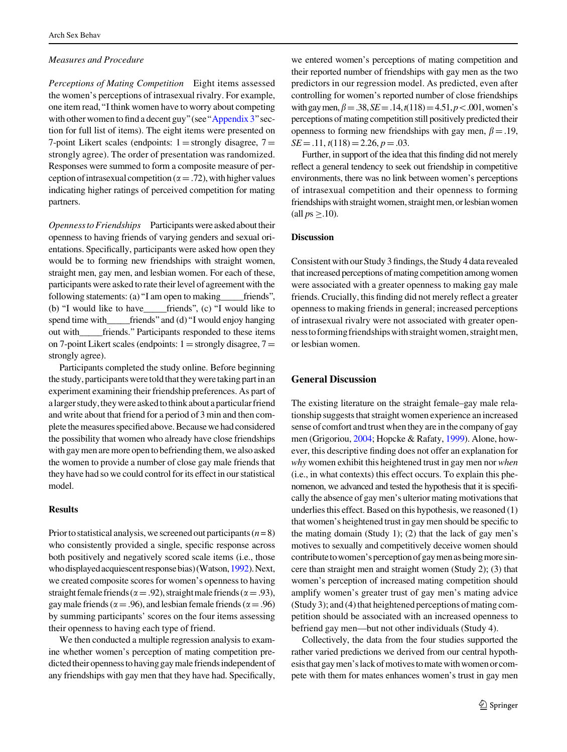#### Measures and Procedure

Perceptions of Mating Competition Eight items assessed the women's perceptions of intrasexual rivalry. For example, one item read,''I think women have to worry about competing with other women to find a decent guy" (see "Appendix 3" section for full list of items). The eight items were presented on 7-point Likert scales (endpoints:  $1 =$ strongly disagree,  $7 =$ strongly agree). The order of presentation was randomized. Responses were summed to form a composite measure of perception of intrasexual competition ( $\alpha$  = .72), with higher values indicating higher ratings of perceived competition for mating partners.

Openness to Friendships Participants were asked about their openness to having friends of varying genders and sexual orientations. Specifically, participants were asked how open they would be to forming new friendships with straight women, straight men, gay men, and lesbian women. For each of these, participants were asked to rate their level of agreement with the following statements: (a)''I am open to making\_\_\_\_\_friends'', (b) ''I would like to have\_\_\_\_\_friends'', (c) ''I would like to spend time with friends" and (d) "I would enjoy hanging out with\_\_\_\_\_friends.'' Participants responded to these items on 7-point Likert scales (endpoints:  $1 =$  strongly disagree,  $7 =$ strongly agree).

Participants completed the study online. Before beginning the study, participants were told that they were taking part in an experiment examining their friendship preferences. As part of a larger study, they were asked to think about a particular friend and write about that friend for a period of 3 min and then complete the measures specified above. Because we had considered the possibility that women who already have close friendships with gay men are more open to befriending them, we also asked the women to provide a number of close gay male friends that they have had so we could control for its effect in our statistical model.

## Results

Prior to statistical analysis, we screened out participants ( $n = 8$ ) who consistently provided a single, specific response across both positively and negatively scored scale items (i.e., those who displayed acquiescent response bias) (Watson, [1992](#page-10-0)). Next, we created composite scores for women's openness to having straight female friends ( $\alpha$  = .92), straight male friends ( $\alpha$  = .93), gay male friends ( $\alpha$  = .96), and lesbian female friends ( $\alpha$  = .96) by summing participants' scores on the four items assessing their openness to having each type of friend.

We then conducted a multiple regression analysis to examine whether women's perception of mating competition predicted their openness to having gay male friends independent of any friendships with gay men that they have had. Specifically,

we entered women's perceptions of mating competition and their reported number of friendships with gay men as the two predictors in our regression model. As predicted, even after controlling for women's reported number of close friendships with gay men,  $\beta = .38$ ,  $SE = .14$ ,  $t(118) = 4.51$ ,  $p < .001$ , women's perceptions of mating competition still positively predicted their openness to forming new friendships with gay men,  $\beta = .19$ ,  $SE = .11$ ,  $t(118) = 2.26$ ,  $p = .03$ .

Further, in support of the idea that this finding did not merely reflect a general tendency to seek out friendship in competitive environments, there was no link between women's perceptions of intrasexual competition and their openness to forming friendships with straight women, straight men, or lesbian women (all  $ps > .10$ ).

## Discussion

Consistent with our Study 3 findings, the Study 4 data revealed that increased perceptions of mating competition among women were associated with a greater openness to making gay male friends. Crucially, this finding did not merely reflect a greater openness to making friends in general; increased perceptions of intrasexual rivalry were not associated with greater openness to forming friendships with straight women, straight men, or lesbian women.

# General Discussion

The existing literature on the straight female–gay male relationship suggests that straight women experience an increased sense of comfort and trust whenthey are inthe company of gay men (Grigoriou, [2004;](#page-10-0) Hopcke & Rafaty, [1999](#page-10-0)). Alone, however, this descriptive finding does not offer an explanation for why women exhibit this heightened trust in gay men nor when (i.e., in what contexts) this effect occurs. To explain this phenomenon, we advanced and tested the hypothesis that it is specifically the absence of gay men's ulterior mating motivations that underlies this effect. Based on this hypothesis, we reasoned (1) that women's heightened trust in gay men should be specific to the mating domain (Study 1); (2) that the lack of gay men's motives to sexually and competitively deceive women should contribute to women's perception of gay men as being more sincere than straight men and straight women (Study 2); (3) that women's perception of increased mating competition should amplify women's greater trust of gay men's mating advice (Study 3); and (4) that heightened perceptions of mating competition should be associated with an increased openness to befriend gay men—but not other individuals (Study 4).

Collectively, the data from the four studies supported the rather varied predictions we derived from our central hypothesis that gay men's lack of motives to mate with women or compete with them for mates enhances women's trust in gay men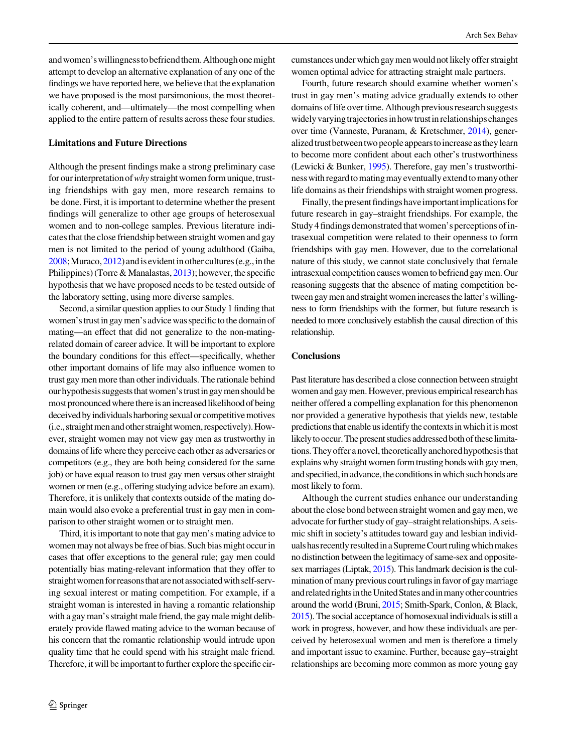andwomen'swillingnessto befriendthem.Although onemight attempt to develop an alternative explanation of any one of the findings we have reported here, we believe that the explanation we have proposed is the most parsimonious, the most theoretically coherent, and—ultimately—the most compelling when applied to the entire pattern of results across these four studies.

## Limitations and Future Directions

Although the present findings make a strong preliminary case for our interpretation of  $why$  straight women form unique, trusting friendships with gay men, more research remains to be done. First, it is important to determine whether the present findings will generalize to other age groups of heterosexual women and to non-college samples. Previous literature indicates that the close friendship between straight women and gay men is not limited to the period of young adulthood (Gaiba,  $2008$ ; Muraco,  $2012$ ) and is evident in other cultures (e.g., in the Philippines) (Torre & Manalastas,  $2013$ ); however, the specific hypothesis that we have proposed needs to be tested outside of the laboratory setting, using more diverse samples.

Second, a similar question applies to our Study 1 finding that women's trust in gay men's advice was specific to the domain of mating—an effect that did not generalize to the non-matingrelated domain of career advice. It will be important to explore the boundary conditions for this effect—specifically, whether other important domains of life may also influence women to trust gay men more than other individuals. The rationale behind our hypothesis suggests that women's trust in gay men should be most pronounced where there is an increased likelihood of being deceived by individuals harboring sexual or competitive motives (i.e., straight men and other straight women, respectively). However, straight women may not view gay men as trustworthy in domains of life where they perceive each other as adversaries or competitors (e.g., they are both being considered for the same job) or have equal reason to trust gay men versus other straight women or men (e.g., offering studying advice before an exam). Therefore, it is unlikely that contexts outside of the mating domain would also evoke a preferential trust in gay men in comparison to other straight women or to straight men.

Third, it is important to note that gay men's mating advice to women may not always be free of bias. Such bias might occurin cases that offer exceptions to the general rule; gay men could potentially bias mating-relevant information that they offer to straight women for reasons that are not associated with self-serving sexual interest or mating competition. For example, if a straight woman is interested in having a romantic relationship with a gay man's straight male friend, the gay male might deliberately provide flawed mating advice to the woman because of his concern that the romantic relationship would intrude upon quality time that he could spend with his straight male friend. Therefore, it will be important to further explore the specific circumstances under which gaymen would notlikely offer straight women optimal advice for attracting straight male partners.

Fourth, future research should examine whether women's trust in gay men's mating advice gradually extends to other domains of life over time. Although previous research suggests widely varying trajectories in how trust in relationships changes over time (Vanneste, Puranam, & Kretschmer, [2014\)](#page-10-0), generalized trust between two people appears to increase as they learn to become more confident about each other's trustworthiness (Lewicki & Bunker, [1995\)](#page-10-0). Therefore, gay men's trustworthiness with regard to mating may eventually extend to many other life domains as their friendships with straight women progress.

Finally, the present findings have important implications for future research in gay–straight friendships. For example, the Study 4 findings demonstrated that women's perceptions of intrasexual competition were related to their openness to form friendships with gay men. However, due to the correlational nature of this study, we cannot state conclusively that female intrasexual competition causes women to befriend gay men. Our reasoning suggests that the absence of mating competition between gay men and straight women increases the latter's willingness to form friendships with the former, but future research is needed to more conclusively establish the causal direction of this relationship.

## **Conclusions**

Past literature has described a close connection between straight women and gay men. However, previous empirical research has neither offered a compelling explanation for this phenomenon nor provided a generative hypothesis that yields new, testable predictions that enable us identify the contexts in which it is most likely to occur. The present studies addressed both of these limitations. They offer a novel, theoretically anchored hypothesis that explains why straight women form trusting bonds with gay men, and specified, in advance, the conditions in which such bonds are most likely to form.

Although the current studies enhance our understanding about the close bond between straight women and gay men, we advocate for further study of gay–straight relationships. A seismic shift in society's attitudes toward gay and lesbian individuals has recently resultedina SupremeCourt rulingwhichmakes no distinction between the legitimacy of same-sex and oppositesex marriages (Liptak, [2015\)](#page-10-0). This landmark decision is the culmination of many previous court rulings in favor of gay marriage and related rights in the United States and in many other countries around the world (Bruni, [2015;](#page-9-0) Smith-Spark, Conlon, & Black, [2015](#page-10-0)). The social acceptance of homosexual individuals is still a work in progress, however, and how these individuals are perceived by heterosexual women and men is therefore a timely and important issue to examine. Further, because gay–straight relationships are becoming more common as more young gay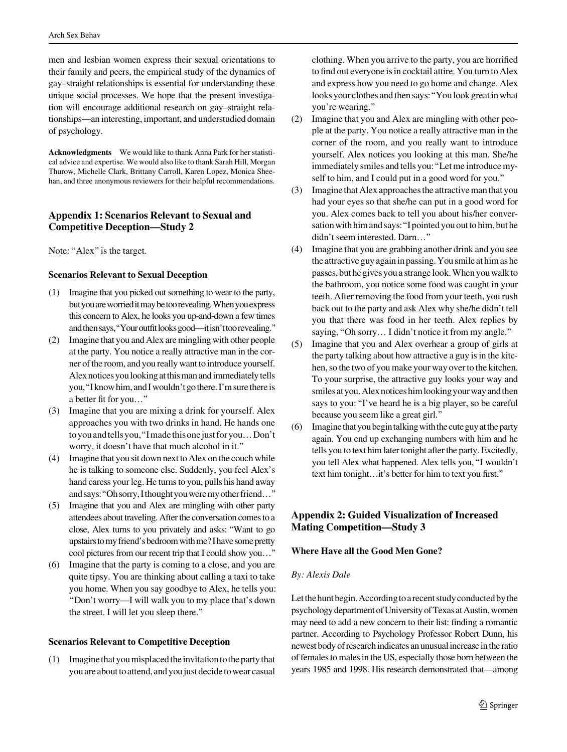<span id="page-8-0"></span>men and lesbian women express their sexual orientations to their family and peers, the empirical study of the dynamics of gay–straight relationships is essential for understanding these unique social processes. We hope that the present investigation will encourage additional research on gay–straight relationships—an interesting, important, and understudied domain of psychology.

Acknowledgments We would like to thank Anna Park for her statistical advice and expertise. We would also like to thank Sarah Hill, Morgan Thurow, Michelle Clark, Brittany Carroll, Karen Lopez, Monica Sheehan, and three anonymous reviewers for their helpful recommendations.

# Appendix 1: Scenarios Relevant to Sexual and Competitive Deception—Study 2

Note: "Alex" is the target.

## Scenarios Relevant to Sexual Deception

- Imagine that you picked out something to wear to the party, but you are worried it may be too revealing. When you express this concern to Alex, he looks you up-and-down a few times andthensays,''Youroutfitlooksgood—itisn'ttoo revealing.''
- (2) Imagine that you and Alex are mingling with other people at the party. You notice a really attractive man in the corner of the room, and you really want to introduce yourself. Alex notices you looking at this man and immediately tells you, "I know him, and I wouldn't go there. I'm sure there is a better fit for you…''
- (3) Imagine that you are mixing a drink for yourself. Alex approaches you with two drinks in hand. He hands one to youandtells you,''Imadethis onejust for you…Don't worry, it doesn't have that much alcohol in it.''
- (4) Imagine that you sit down next to Alex on the couch while he is talking to someone else. Suddenly, you feel Alex's hand caress your leg. He turns to you, pulls his hand away and says:''Oh sorry, Ithought youweremy other friend…''
- (5) Imagine that you and Alex are mingling with other party attendees about traveling. After the conversation comes to a close, Alex turns to you privately and asks: ''Want to go upstairstomy friend'sbedroomwithme? Ihave some pretty cool pictures from our recent trip that I could show you…''
- (6) Imagine that the party is coming to a close, and you are quite tipsy. You are thinking about calling a taxi to take you home. When you say goodbye to Alex, he tells you: ''Don't worry—I will walk you to my place that's down the street. I will let you sleep there.''

## Scenarios Relevant to Competitive Deception

(1) Imaginethat youmisplacedtheinvitationtothe partythat you are about to attend, and you just decide to wear casual

clothing. When you arrive to the party, you are horrified to find out everyone is in cocktail attire. You turn to Alex and express how you need to go home and change. Alex looks your clothes and then says: "You look great in what you're wearing.''

- (2) Imagine that you and Alex are mingling with other people at the party. You notice a really attractive man in the corner of the room, and you really want to introduce yourself. Alex notices you looking at this man. She/he immediately smiles and tells you: "Let me introduce myself to him, and I could put in a good word for you.''
- (3) Imaginethat Alex approachesthe attractive manthat you had your eyes so that she/he can put in a good word for you. Alex comes back to tell you about his/her conversation with him and says: "I pointed you out to him, but he didn't seem interested. Darn…''
- (4) Imagine that you are grabbing another drink and you see the attractive guy againin passing. You smile at him as he passes, but he gives you a strangelook.When you walkto the bathroom, you notice some food was caught in your teeth. After removing the food from your teeth, you rush back out to the party and ask Alex why she/he didn't tell you that there was food in her teeth. Alex replies by saying, "Oh sorry... I didn't notice it from my angle."
- (5) Imagine that you and Alex overhear a group of girls at the party talking about how attractive a guy is in the kitchen, so the two of you make your way over to the kitchen. To your surprise, the attractive guy looks your way and smiles at you. Alex notices him looking your way and then says to you: "I've heard he is a big player, so be careful because you seem like a great girl.''
- (6) Imaginethat you begintalkingwiththecuteguyattheparty again. You end up exchanging numbers with him and he tells you to text him later tonight after the party. Excitedly, you tell Alex what happened. Alex tells you, ''I wouldn't text him tonight…it's better for him to text you first.''

# Appendix 2: Guided Visualization of Increased Mating Competition—Study 3

# Where Have all the Good Men Gone?

# By: Alexis Dale

Let the hunt begin. According to a recent study conducted by the psychology department of University of Texas at Austin, women may need to add a new concern to their list: finding a romantic partner. According to Psychology Professor Robert Dunn, his newest body of research indicates an unusual increase in the ratio of females to males in the US, especially those born between the years 1985 and 1998. His research demonstrated that—among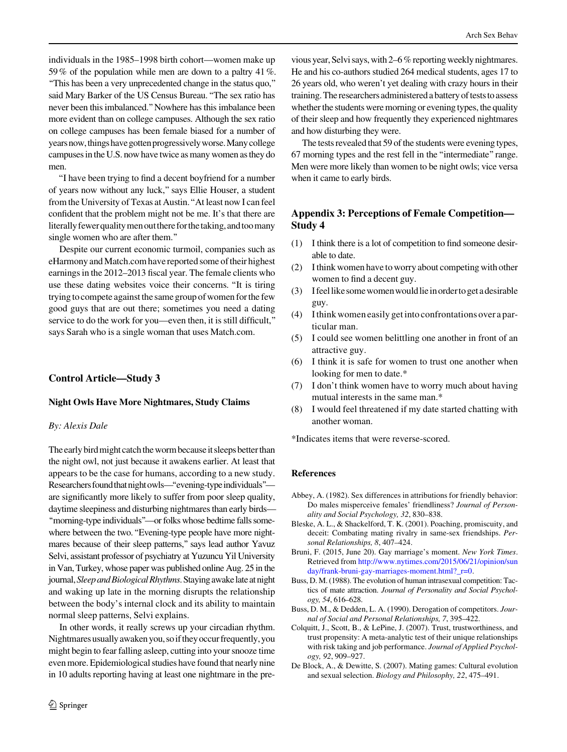<span id="page-9-0"></span>individuals in the 1985–1998 birth cohort—women make up 59% of the population while men are down to a paltry 41%. ''This has been a very unprecedented change in the status quo,'' said Mary Barker of the US Census Bureau. ''The sex ratio has never been this imbalanced.''Nowhere has this imbalance been more evident than on college campuses. Although the sex ratio on college campuses has been female biased for a number of yearsnow,things have gottenprogressivelyworse.Manycollege campuses in the U.S. now have twice as many women as they do men.

''I have been trying to find a decent boyfriend for a number of years now without any luck,'' says Ellie Houser, a student from the University of Texas at Austin.''At least now I can feel confident that the problem might not be me. It's that there are literally fewer quality men out there for the taking, and too many single women who are after them.''

Despite our current economic turmoil, companies such as eHarmony and Match.com have reported some of their highest earnings in the 2012–2013 fiscal year. The female clients who use these dating websites voice their concerns. ''It is tiring trying to compete against the same group of women for the few good guys that are out there; sometimes you need a dating service to do the work for you—even then, it is still difficult,'' says Sarah who is a single woman that uses Match.com.

## Control Article—Study 3

#### Night Owls Have More Nightmares, Study Claims

## By: Alexis Dale

The early bird might catch the worm because it sleeps better than the night owl, not just because it awakens earlier. At least that appears to be the case for humans, according to a new study. Researchers found that night owls—"evening-type individuals" are significantly more likely to suffer from poor sleep quality, daytime sleepiness and disturbing nightmares than early birds— "morning-type individuals"—or folks whose bedtime falls somewhere between the two. "Evening-type people have more nightmares because of their sleep patterns," says lead author Yavuz Selvi, assistant professor of psychiatry at Yuzuncu Yil University in Van, Turkey, whose paper was published online Aug. 25 in the journal, Sleep and Biological Rhythms. Staying awake late at night and waking up late in the morning disrupts the relationship between the body's internal clock and its ability to maintain normal sleep patterns, Selvi explains.

In other words, it really screws up your circadian rhythm. Nightmares usually awaken you, soifthey occur frequently, you might begin to fear falling asleep, cutting into your snooze time even more. Epidemiological studies have found that nearly nine in 10 adults reporting having at least one nightmare in the pre-

vious year, Selvi says, with 2–6%reporting weekly nightmares. He and his co-authors studied 264 medical students, ages 17 to 26 years old, who weren't yet dealing with crazy hours in their training. The researchers administered a battery of tests to assess whether the students were morning or evening types, the quality of their sleep and how frequently they experienced nightmares and how disturbing they were.

The tests revealed that 59 of the students were evening types, 67 morning types and the rest fell in the ''intermediate'' range. Men were more likely than women to be night owls; vice versa when it came to early birds.

## Appendix 3: Perceptions of Female Competition— Study 4

- (1) I think there is a lot of competition to find someone desirable to date.
- (2) I think women haveto worry about competing with other women to find a decent guy.
- (3) I feellike somewomenwouldliein orderto geta desirable guy.
- (4) Ithink women easily getinto confrontations over a particular man.
- (5) I could see women belittling one another in front of an attractive guy.
- (6) I think it is safe for women to trust one another when looking for men to date.\*
- (7) I don't think women have to worry much about having mutual interests in the same man.\*
- (8) I would feel threatened if my date started chatting with another woman.

\*Indicates items that were reverse-scored.

#### References

- Abbey, A. (1982). Sex differences in attributions for friendly behavior: Do males misperceive females' friendliness? Journal of Personality and Social Psychology, 32, 830–838.
- Bleske, A. L., & Shackelford, T. K. (2001). Poaching, promiscuity, and deceit: Combating mating rivalry in same-sex friendships. Personal Relationships, 8, 407–424.
- Bruni, F. (2015, June 20). Gay marriage's moment. New York Times. Retrieved from [http://www.nytimes.com/2015/06/21/opinion/sun](http://www.nytimes.com/2015/06/21/opinion/sunday/frank-bruni-gay-marriages-moment.html%3f_r%3d0) [day/frank-bruni-gay-marriages-moment.html?\\_r=0](http://www.nytimes.com/2015/06/21/opinion/sunday/frank-bruni-gay-marriages-moment.html%3f_r%3d0).
- Buss, D. M. (1988). The evolution of human intrasexual competition: Tactics of mate attraction. Journal of Personality and Social Psychology, 54, 616–628.
- Buss, D. M., & Dedden, L. A. (1990). Derogation of competitors. Journal of Social and Personal Relationships, 7, 395–422.
- Colquitt, J., Scott, B., & LePine, J. (2007). Trust, trustworthiness, and trust propensity: A meta-analytic test of their unique relationships with risk taking and job performance. Journal of Applied Psychology, 92, 909–927.
- De Block, A., & Dewitte, S. (2007). Mating games: Cultural evolution and sexual selection. Biology and Philosophy, 22, 475–491.